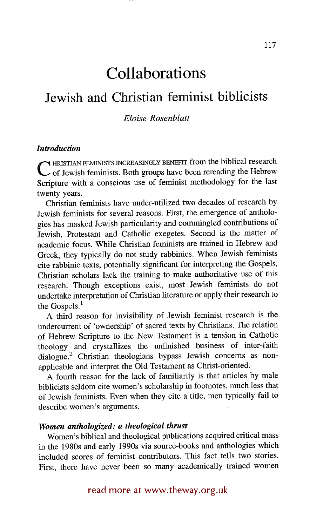# **Collaborations**

## **Jewish and Christian feminist biblicists**

### *Eloise Rosenblatt*

#### *Introduction*

C HRISTIAN FEMINISTS INCREASINGLY BENEFIT from the biblical research of Jewish feminists. Both groups have been rereading the Hebrew Scripture with a conscious use of feminist methodology for the last twenty years.

Christian feminists have under-utilized two decades of research by Jewish feminists for several reasons. First, the emergence of anthologies has masked Jewish particularity and commingled contributions of Jewish, Protestant and Catholic exegetes. Second is the matter of academic focus. While Christian feminists are trained in Hebrew and Greek, they typically do not study rabbinics. When Jewish feminists cite rabbinic texts, potentially significant for interpreting the Gospels, Christian scholars lack the training to make authoritative use of this research. Though exceptions exist, most Jewish feminists do not undertake interpretation of Christian literature or apply their research to the Gospels.<sup>1</sup>

A third reason for invisibility of Jewish feminist research is the undercurrent of 'ownership' of sacred texts by Christians. The relation of Hebrew Scripture to the New Testament is a tension in Catholic theology and crystallizes the unfinished business of inter-faith dialogue.<sup>2</sup> Christian theologians bypass Jewish concerns as nonapplicable and interpret the Old Testament as Christ-oriented.

A fourth reason for the lack of familiarity is that articles by male biblicists seldom cite women's scholarship in footnotes, much less that of Jewish feminists. Even when they cite a title, men typically fail to describe women's arguments.

#### *Women anthologized: a theological thrust*

Women's biblical and theological publications acquired critical mass in the 1980s and early 1990s via source-books and anthologies which included scores of feminist contributors. This fact tells two stories. First, there have never been so many academically trained women

read more at www.theway.org.uk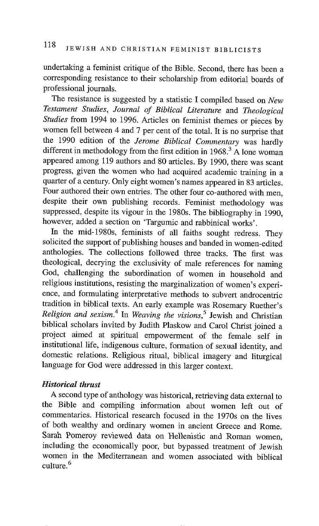undertaking a feminist critique of the Bible. Second, there has been a corresponding resistance to their scholarship from editorial boards of professional journals.

The resistance is suggested by a statistic I compiled based on *New Testament Studies, Journal of Biblical Literature* and *Theological Studies* from 1994 to 1996. Articles on feminist themes or pieces by women fell between 4 and 7 per cent of the total. It is no surprise that the 1990 edition of the *Jerome Biblical Commentary* was hardly different in methodology from the first edition in 1968.<sup>3</sup> A lone woman appeared among 119 authors and 80 articles. By 1990, there was scant progress, given the women who had acquired academic training in a quarter of a century. Only eight women's names appeared in 83 articles. Four authored their own entries. The other four co-authored with men, despite their own publishing records. Feminist methodology was suppressed, despite its vigour in the 1980s. The bibliography in 1990, however, added a section on 'Targumic and rabbinical works'.

In the mid-1980s, feminists of all faiths sought redress. They solicited the support of publishing houses and banded in women-edited anthologies. The collections followed three tracks. The first was theological, decrying the exclusivity of male references for naming God, challenging the subordination of women in household and religious institutions, resisting the marginalization of women's experience, and formulating interpretative methods to subvert androcentric tradition in biblical texts. An early example was Rosemary Ruether's *Religion and sexism. 4* In *Weaving the visions, 5* Jewish and Christian biblical scholars invited by Judith Plaskow and Carol Christ joined a project aimed at spiritual empowerment of the female self in institutional life, indigenous culture, formation of sexual identity, and domestic relations. Religious ritual, biblical imagery and liturgical language for God were addressed in this larger context.

### *Historical thrust*

A second type of anthology was historical, retrieving data external to the Bible and compiling information about women left out of commentaries. Historical research focused in the 1970s on the lives of both wealthy and ordinary women in ancient Greece and Rome. Sarah Pomeroy reviewed data on Hellenistic and Roman women, including the economically poor, but bypassed treatment of Jewish women in the Mediterranean and women associated with biblical culture. 6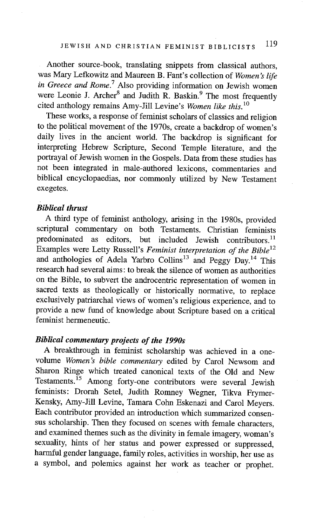Another source-book, translating snippets from classical authors, was Mary Lefkowitz and Maureen B. Fant's collection of *Women's life in Greece and Rome.*<sup>7</sup> Also providing information on Jewish women were Leonie J. Archer<sup>8</sup> and Judith R. Baskin.<sup>9</sup> The most frequently cited anthology remains Amy-Jill Levine's *Women like this. lo* 

These works, a response of feminist scholars of classics and religion to the political movement of the 1970s, create a backdrop of women's daily lives in the ancient world. The backdrop is significant for interpreting Hebrew Scripture, Second Temple literature, and the portrayal of Jewish women in the Gospels. Data from these studies has not been integrated in male-authored lexicons, commentaries and biblical encyclopaedias, nor commonly utilized by New Testament exegetes.

#### *Biblical thrust*

A third type of feminist anthology, arising in the 1980s, provided scriptural commentary on both Testaments. Christian feminists predominated as editors, but included Jewish contributors.<sup>11</sup> Examples were Letty Russell's *Feminist interpretation of the Bible 12*  and anthologies of Adela Yarbro Collins<sup>13</sup> and Peggy  $Dav<sup>14</sup>$ . This research had several aims: to break the silence of women as authorities on the Bible, to subvert the androcentric representation of women in sacred texts as theologically or historically normative, to replace exclusively patriarchal views of women's religious experience, and to provide a new fund of knowledge about Scripture based on a critical feminist hermeneutic.

### *Biblical commentary projects of the 1990s*

A breakthrough in feminist scholarship was achieved in a onevolume *Women's bible commentary* edited by Carol Newsom and Sharon Ringe which treated canonical texts of the Old and New Testaments.<sup>15</sup> Among forty-one contributors were several Jewish feminists: Drorah Setel, Judith Ronmey Wegner, Tikva Frymer-Kensky, Amy-Jill Levine, Tamara Cohn Eskenazi and Carol Meyers. Each contributor provided an introduction which summarized consensus scholarship. Then they focused on scenes with female characters, and examined themes such as the divinity in female imagery, woman's sexuality, hints of her status and power expressed or suppressed, harmful gender language, family roles, activities in worship, her use as a symbol, and polemics against her work as teacher or prophet.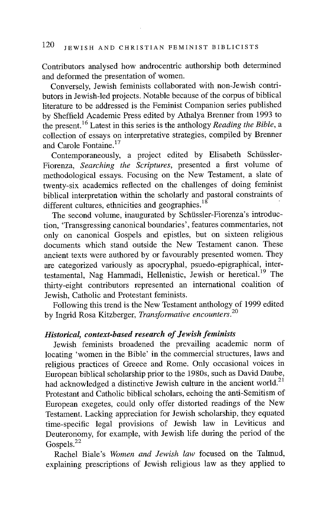Contributors analysed how androcentric authorship both determined and deformed the presentation of women.

Conversely, Jewish feminists collaborated with non-Jewish contributors in Jewish-led projects. Notable because of the corpus of biblical literature to be addressed is the Feminist Companion series published by Sheffield Academic Press edited by Athalya Brenner from 1993 to the present. 16 Latest in this series is the anthology *Reading the Bible, a*  collection of essays on interpretative strategies, compiled by Brenner and Carole Fontaine.<sup>17</sup>

Contemporaneously, a project edited by Elisabeth Schüssler-Fiorenza, *Searching the Scriptures,* presented a first volume of methodological essays. Focusing on the New Testament, a slate of twenty-six academics reflected on the challenges of doing feminist biblical interpretation within the scholarly and pastoral constraints of different cultures, ethnicities and geographies.  $18$ 

The second volume, inaugurated by Schüssler-Fiorenza's introduction, 'Transgressing canonical boundaries', features commentaries, not only on canonical Gospels and epistles, but on sixteen religious documents which stand outside the New Testament canon. These ancient texts were authored by or favourably presented women. They are categorized variously as apocryphal, psuedo-epigraphical, intertestamental, Nag Hammadi, Hellenistic, Jewish or heretical.<sup>19</sup> The thirty-eight contributors represented an international coalition of Jewish, Catholic and Protestant feminists.

Following this trend is the New Testament anthology of 1999 edited by Ingrid Rosa Kitzberger, *Transformative encounters. 2°* 

### *Historical, context-based research of Jewish feminists*

Jewish feminists broadened the prevailing academic norm of locating 'women in the Bible' in the commercial structures, laws and religious practices of Greece and Rome. Only occasional voices in European biblical scholarship prior to the 1980s, such as David Daube, had acknowledged a distinctive Jewish culture in the ancient world. $21$ Protestant and Catholic biblical scholars, echoing the anti-Semitism of European exegetes, could only offer distorted readings of the New Testament. Lacking appreciation for Jewish scholarship, they equated time-specific legal provisions of Jewish law in Leviticus and Deuteronomy, for example, with Jewish life during the period of the Gospels. $^{22}$ 

Rachel Biale's *Women and Jewish law* focused on the Talmud, explaining prescriptions of Jewish religious law as they applied to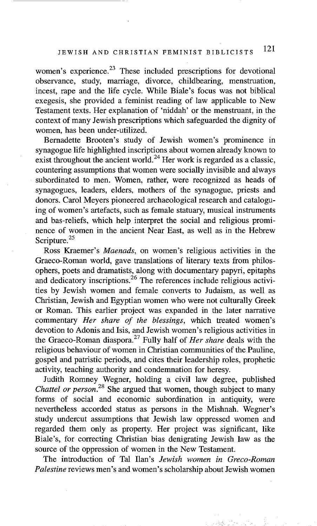women's experience.<sup>23</sup> These included prescriptions for devotional observance, study, marriage, divorce, childbearing, menstruation, incest, rape and the life cycle. While Biale's focus was not biblical exegesis, she provided a feminist reading of law applicable to New Testament texts. Her explanation of 'niddah' or the menstruant, in the context of many Jewish prescriptions which safeguarded the dignity of women, has been under-utilized.

Bernadette Brooten's study of Jewish women's prominence in synagogue life highlighted inscriptions about women already known to exist throughout the ancient world.<sup>24</sup> Her work is regarded as a classic, countering assumptions that women were socially invisible and always subordinated to men. Women, rather, were recognized as heads of synagogues, leaders, elders, mothers of the synagogue, priests and donors. Carol Meyers pioneered archaeological research and cataloguing of women's artefacts, such as female statuary, musical instruments and bas-reliefs, which help interpret the social and religious prominence of women in the ancient Near East, as well as in the Hebrew Scripture.<sup>25</sup>

Ross Kraemer's *Maenads,* on women's religious activities in the Graeco-Roman world, gave translations of literary texts from philosophers, poets and dramatists, along with documentary papyri, epitaphs and dedicatory inscriptions.<sup>26</sup> The references include religious activities by Jewish women and female converts to Judaism, as well as Christian, Jewish and Egyptian women who were not culturally Greek or Roman. This earlier project was expanded in the later narrative commentary *Her share of the blessings,* which treated women's devotion to Adonis and Isis, and Jewish women's religious activities in the Graeco-Roman diaspora. 27 Fully half of *Her share* deals with the religious behaviour of women in Christian communities of the Pauline, gospel and patristic periods, and cites their leadership roles, prophetic activity, teaching authority and condemnation for heresy.

Judith Romney Wegner, holding a civil law degree, published *Chattel or person.*<sup>28</sup> She argued that women, though subject to many forms of social and economic subordination in antiquity, were nevertheless accorded status as persons in the Mishnah. Wegner's study undercut assumptions that Jewish law oppressed women and regarded them only as property. Her project was significant, like Biale's, for correcting Christian bias denigrating Jewish law as the source of the oppression of women in the New Testament.

The introduction of Tal Ilan's *Jewish women in Greco-Roman Palestine* reviews men's and women's scholarship about Jewish women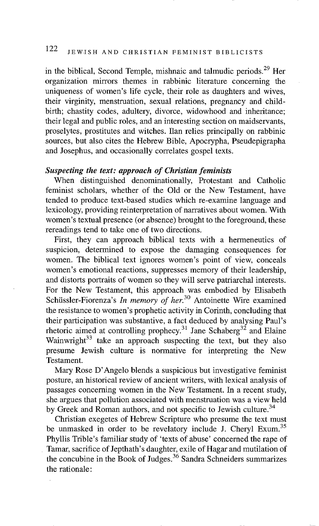in the biblical, Second Temple, mishnaic and talmudic periods. 29 Her organization mirrors themes in rabbinic literature concerning the uniqueness of women's life cycle, their role as daughters and wives, their virginity, menstruation, sexual relations, pregnancy and childbirth; chastity codes, adultery, divorce, widowhood and inheritance; their legal and public roles, and an interesting section on maidservants, proselytes, prostitutes and witches. Ilan relies principally on rabbinic sources, but also cites the Hebrew Bible, Apocrypha, Pseudepigrapha and Josephus, and occasionally correlates gospel texts.

### *Suspecting the text: approach of Christian feminists*

When distinguished denominationally, Protestant and Catholic feminist scholars, whether of the Old or the New Testament, have tended to produce text-based studies which re-examine language and lexicology, providing reinterpretation of narratives about women. With women's textual presence (or absence) brought to the foreground, these rereadings tend to take one of two directions.

First, they can approach biblical texts with a hermeneutics of suspicion, determined to expose the damaging consequences for women. The biblical text ignores women's point of view, conceals women's emotional reactions, suppresses memory of their leadership, and distorts portraits of women so they will serve patriarchal interests. For the New Testament, this approach was embodied by Elisabeth Schüssler-Fiorenza's *In memory of her.*<sup>30</sup> Antoinette Wire examined the resistance to women's prophetic activity in Corinth, concluding that their participation was substantive, a fact deduced by analysing Paul's rhetoric aimed at controlling prophecy.<sup>31</sup> Jane Schaberg<sup>32</sup> and Elaine Wainwright $^{33}$  take an approach suspecting the text, but they also presume Jewish culture is normative for interpreting the New Testament.

Mary Rose D'Angelo blends a suspicious but investigative feminist posture, an historical review of ancient writers, with lexical analysis of passages concerning women in the New Testament. In a recent study, she argues that pollution associated with menstruation was a view held by Greek and Roman authors, and not specific to Jewish culture.<sup>34</sup>

Christian exegetes of Hebrew Scripture who presume the text must be unmasked in order to be revelatory include J. Cheryl Exum.<sup>35</sup> Phyllis Trible's familiar study of 'texts of abuse' concerned the rape of Tamar, sacrifice of Jepthath's daughter, exile of Hagar and mutilation of the concubine in the Book of Judges.<sup>36</sup> Sandra Schneiders summarizes the rationale: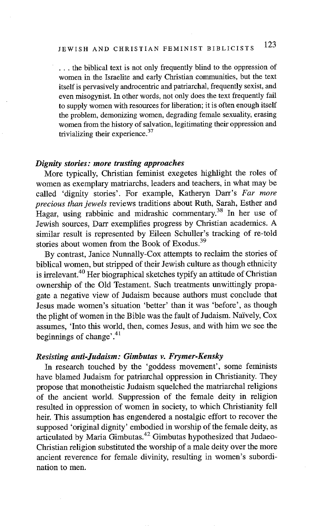**•..** the biblical text is not only frequently blind to the oppression of women in the Israelite and early Christian communities, but the text itself is pervasively androcentric and patriarchal, frequently sexist, and even misogynist. In other words, not only does the text frequently fail to supply women with resources for liberation; it is often enough itself the problem, demonizing women, degrading female sexuality, erasing women from the history of salvation, legitimating their oppression and trivializing their experience.<sup>37</sup>

#### *Dignity stories: more trusting approaches*

More typically, Christian feminist exegetes highlight the roles of women as exemplary matriarchs, leaders and teachers, in what may be called 'dignity stories'. For example, Katheryn Darr's *Far more precious than jewels* reviews traditions about Ruth, Sarah, Esther and Hagar, using rabbinic and midrashic commentary.<sup>38</sup> In her use of Jewish sources, Darr exemplifies progress by Christian academics. A similar result is represented by Eileen Schuller's tracking of re-told stories about women from the Book of Exodus. 39

By contrast, Janice Nunnally-Cox attempts to reclaim the stories of biblical women, but stripped of their Jewish culture as though ethnicity is irrelevant.<sup>40</sup> Her biographical sketches typify an attitude of Christian ownership of the Old Testament. Such treatments unwittingly propagate a negative view of Judaism because authors must conclude that Jesus made women's situation 'better' than it was 'before', as though the plight of women in the Bible was the fault of Judaism. Naively, Cox assumes, 'Into this world, then, comes Jesus, and with him we see the beginnings of change'. $41$ 

#### *Resisting anti-Judaism: Gimbutas v. Frymer-Kensky*

In research touched by the 'goddess movement', some feminists have blamed Judaism for patriarchal oppression in Christianity. They propose that monotheistic Judaism squelched the matriarchal religions of the ancient world. Suppression of the female deity in religion resulted in oppression of women in society, to which Christianity fell heir. This assumption has engendered a nostalgic effort to recover the supposed 'original dignity' embodied in worship of the female deity, as articulated by Maria Gimbutas.<sup>42</sup> Gimbutas hypothesized that Judaeo-Christian religion substituted the worship of a male deity over the more ancient reverence for female divinity, resulting in women's subordination to men.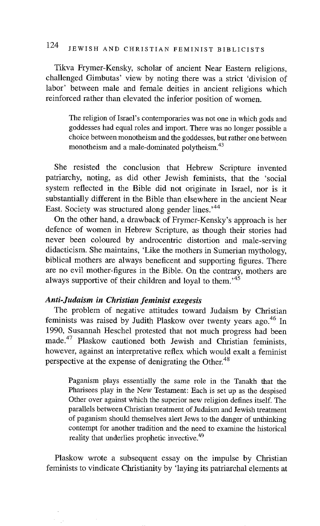Tikva Frymer-Kensky, scholar of ancient Near Eastern religions, challenged Gimbutas' view by noting there was a strict 'division of labor' between male and female deities in ancient religions which reinforced rather than elevated the inferior position of women.

The religion of Israel's contemporaries was not one in which gods and goddesses had equal roles and import. There was no longer possible a choice between monotheism and the goddesses, but rather one between monotheism and a male-dominated polytheism.<sup>43</sup>

She resisted the conclusion that Hebrew Scripture invented patriarchy, noting, as did other Jewish feminists, that the 'social system reflected in the Bible did not originate in Israel, nor is it substantially different in the Bible than elsewhere in the ancient Near East. Society was structured along gender lines.<sup>,44</sup>

On the other hand, a drawback of Frymer-Kensky's approach is her defence of women in Hebrew Scripture, as though their stories had never been coloured by androcentric distortion and male-serving didacticism. She maintains, 'Like the mothers in Sumerian mythology, biblical mothers are always beneficent and supporting figures. There are no evil mother-figures in the Bible. On the contrary, mothers are always supportive of their children and loyal to them.<sup> $45$ </sup>

### *Anti-Judaism in Christian feminist exegesis*

The problem of negative attitudes toward Judaism by Christian feminists was raised by Judith Plaskow over twenty years ago.<sup>46</sup> In 1990, Susannah Heschel protested that not much progress had been made. 47 Plaskow cautioned both Jewish and Christian feminists, however, against an interpretative reflex which would exalt a feminist perspective at the expense of denigrating the Other. 48

Paganism plays essentially the same role in the Tanakh that the Pharisees play in the New Testament: Each is set up as the despised Other over against which the superior new religion defines itself. The parallels between Christian treatment of Judaism and Jewish treatment of paganism should themselves alert Jews to the danger of unthinking contempt for another tradition and the need to examine the historical reality that underlies prophetic invective.<sup>49</sup>

Plaskow wrote a subsequent essay on the impulse by Christian feminists to vindicate Christianity by 'laying its patriarchal elements at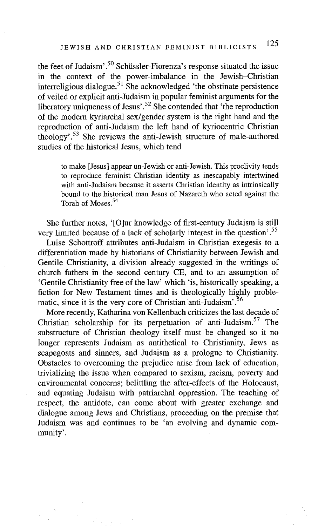the feet of Judaism'.<sup>50</sup> Schüssler-Fiorenza's response situated the issue in the context of the power-imbalance in the Jewish-Christian interreligious dialogue.<sup>51</sup> She acknowledged 'the obstinate persistence of veiled or explicit anti-Judaism in popular feminist arguments for the liberatory uniqueness of Jesus'.<sup>52</sup> She contended that 'the reproduction of the modern kyriarchal sex/gender system is the right hand and the reproduction of anti-Judaism the left hand of kyriocentric Christian theology'. 53 She reviews the anti-Jewish structure of male-authored studies of the historical Jesus, which tend

to make [Jesus] appear un-Jewish or anti-Jewish. This proclivity tends to reproduce feminist Christian identity as inescapably intertwined with anti-Judaism because it asserts Christian identity as intrinsically bound to the historical man Jesus of Nazareth who acted against the Torah of Moses<sup>54</sup>

She further notes, '[O]ur knowledge of first-century Judaism is still very limited because of a lack of scholarly interest in the question'.55

Luise Schottroff attributes anti-Judaism in Christian exegesis to a differentiation made by historians of Christianity between Jewish and Gentile Christianity, a division already suggested in the writings of church fathers in the second century CE, and to an assumption of 'Gentile Christianity free of the law' which 'is, historically speaking, a fiction for New Testament times and is theologically highly problematic, since it is the very core of Christian anti-Judaism'.<sup>56</sup>

More recently, Katharina von Kellenbach criticizes the last decade of Christian scholarship for its perpetuation of anti-Judaism.<sup>57</sup> The substructure of Christian theology itself must be changed so it no longer represents Judaism as antithetical to Christianity, Jews as scapegoats and sinners, and Judaism as a prologue to Christianity. Obstacles to overcoming the prejudice arise from lack of education, trivializing the issue when compared to sexism, racism, poverty and environmental concerns; belittling the after-effects of the Holocaust, and equating Judaism with patriarchal oppression. The teaching of respect, the antidote, can come about with greater exchange and dialogue among Jews and Christians, proceeding on the premise that Judaism was and continues to be 'an evolving and dynamic community'.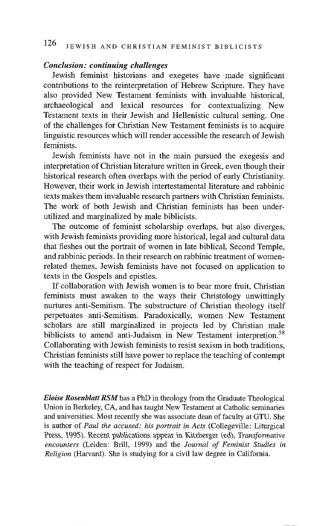#### *Conclusion: continuing challenges*

Jewish feminist historians and exegetes have made significant contributions to the reinterpretation of Hebrew Scripture. They have also provided New Testament feminists with invaluable historical, archaeological and lexical resources for contextualizing New Testament texts in their Jewish and Hellenistic cultural setting. One of the challenges for Christian New Testament feminists is to acquire linguistic resources which will render accessible the research of Jewish feminists.

Jewish feminists have not in the main pursued the exegesis and interpretation of Christian literature written in Greek, even though their historical research often overlaps with the period of early Christianity. However, their work in Jewish intertestamental literature and rabbinic texts makes them invaluable research partners with Christian feminists. The work of both Jewish and Christian feminists has been underutilized and marginalized by male biblicists.

The outcome of feminist scholarship overlaps, but also diverges, with Jewish feminists providing more historical, legal and cultural data that fleshes out the portrait of women in late biblical, Second Temple, and rabbinic periods. In their research on rabbinic treatment of womenrelated themes, Jewish feminists have not focused on application to texts in the Gospels and epistles.

If collaboration with Jewish women is to bear more fruit, Christian feminists must awaken to the ways their Christology unwittingly nurtures anti-Semitism. The substructure of Christian theology itself perpetuates anti-Semitism. Paradoxically, women New Testament scholars are still marginalized in projects led by Christian male biblicists to amend anti-Judaism in New Testament interpretion.<sup>58</sup> Collaborating with Jewish feminists to resist sexism in both traditions, Christian feminists still have power to replace the teaching of contempt with the teaching of respect for Judaism.

*Eloise Rosenblatt RSM* has a PhD in theology from the Graduate Theological Union in Berkeley, CA, and has taught New Testament at Catholic seminaries and universities. Most recently she was associate dean of faculty at GTU. She is author of *Paul the accused: his portrait in Acts* (Collegeville: Liturgical Press, 1995). Recent publications appear in Kitzberger (ed), *Transformative encounters* (Leiden: Brill, 1999) and the *Journal of Feminist Studies in Religion* (Harvard). She is studying for a civil law degree in California.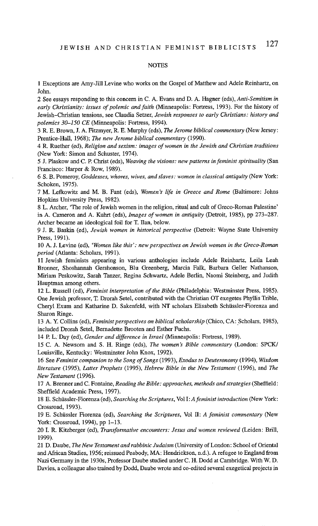#### **NOTES**

1 Exceptions are Amy-Jill Levine who works on the Gospel of Matthew and Adele Reinhartz, on John.

2 See essays responding to this concern in C. A. Evans and D. A. Hagner (eds), *Anti-Semitism in early Christianity: issues of polemic and faith* (Minneapolis: Fortress, 1993). For the history of Jewish-Christian tensions, see Claudia Setzer, *Jewish responses to early Christians: history and polemics 30-150 CE* (Minneapolis: Fortress, 1994).

3 R. E. Brown, J. A. Fitzmyer, R. E. Murphy (eds), The *Jerome biblical commentary* (New Jersey: Prentice-Hall, 1968); The *new Jerome biblical commentary* (1990).

4 R. Ruether (ed), *Religion and sexism: images of women in the Jewish and Christian traditions*  (New York: Simon and Schuster, 1974).

5 J. Plaskow and C. P. Christ (eds), *Weaving the visions: new patterns in feminist spirituality* (San Francisco: Harper & Row, 1989).

6 S. B. Pomeroy, *Goddesses, whores, wives, and slaves: women in classical antiquity* (New York: Schoken, 1975).

7 M. Lefkowitz and M. B. Fant (eds), *Women's life in Greece and Rome* (Baltimore: Johns Hopkins University Press, 1982).

8 L. Archer, 'The role of Jewish women in the religion, ritual and cult of Greco-Roman Palestine' in A. Cameron and A. Kuhrt (eds), *Images of women in antiquity* (Detroit, 1985), pp 273-287. Archer became an ideological foil for T. Ilan, below.

9 J. R. Baskin (ed), *Jewish women in historical perspective* (Detroit: Wayne State University Press, 1991).

10 A. J. Levine (ed), *"Women like this': new perspectives on Jewish women in the Greco-Roman period* (Atlanta: Scholars, 1991).

11 Jewish feminists appearing in various anthologies include Adele Reinhartz, Leila Leah Bronner, Shoshannah Gershonson, Blu Greenberg, Marcia Falk, Barbara Geller Nathanson, Miriam Peskowitz, Sarah Tanzer, Regina Schwartz, Adele Berlin, Naomi Steinberg, and Judith Hauptman among others.

12 L. Russell (ed), *Feminist interpretation of the Bible* (Philadelphia: Westminster Press, 1985). One Jewish professor, T. Drorah Setel, contributed with the Christian OT exegetes Phyllis Trible, Cheryl Exum and Katharine D. Sakenfeld, with NT scholars Elisabeth Schiissler-Fiorenza and Sharon Ringe.

13 A. Y. Collins (ed), *Feminist perspectives on biblical scholarship* (Chico, CA: Scholars, 1985), included Drorah Setel, Bernadette Brooten and Esther Fuchs.

14 P. L. Day (ed), *Gender and difference in lsrael* (Minneapolis: Fortress, 1989).

15 C. A. Newsom and S. H. Ringe (eds), The *women's Bible commentary* (London: SPCK/ Louisville, Kentucky: Westminster John Knox, 1992).

16 See *Feminist companion to the Song of Songs* (1993), *Exodus to Deuteronomy* (1994), *Wisdom literature* (1995), *Latter Prophets* (1995), *Hebrew Bible in the New Testament* (1996), and *The New Testament* (1996).

17 A. Brenner and C. Fontaine, *Reading the Bible: approaches, methods and strategies* (Sheffield: Sheffield Academic Press, 1997).

18 E. Schtissler-Fiorenza (ed), *Searching the Scriptures,* Vol I: *A feminist introduction* (New York: Crossroad, 1993).

19 E. Schtissler Fiorenza (ed), *Searching the Scriptures,* Vol *II: A feminist commentary* (New York: Crossroad, 1994), pp 1-13.

20 I. R. Kitzberger (ed), *Transformative encounters: Jesus and women reviewed* (Leiden: Brill, 1999).

21 D. Daube, The *New Testament and rabbinic Judaism* (University of London: School of Oriental and African Studies, 1956; reissued Peabody, MA: Hendrickson, n.d.). A refugee to England from Nazi Germany in the 1930s, Professor Daube studied under C. H. Dodd at Cambridge. With W. D. Davies, a colleague also trained by Dodd, Daube wrote and co-edited several exegetical projects in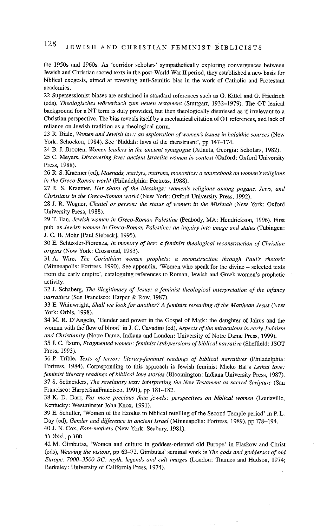the 1950s and 1960s. As 'corridor scholars' sympathetically exploring convergences between Jewish and Christian sacred texts in the post-World War II period, they established a new basis for biblical exegesis, aimed at reversing anti-Semitic bias in the work of Catholic and Protestant academics.

22 Supersessionist biases are enshrined in standard references such as G. Kittel and G. Friedrich (eds), *Theologisches wOrterbuch zum neuen testament* (Stuttgart, 1932-1979). The OT lexical background for a NT term is duly provided, but then theologically dismissed as if irrelevant to a Christian perspective. The bias reveals itself by a mechanical citation of OT references, and lack of reliance on Jewish tradition as a theological norm.

23 R. Biale, *Women and Jewish law: an exploration of women's issues in halakhic sources* (New York: Schocken, 1984). See 'Niddah: laws of the menstruant', pp 147-174.

24 B. J. Brooten, *Women leaders in the ancient synagogue* (Atlanta, Georgia: Scholars, 1982).

25 C. Meyers, *Discovering Eve: ancient Israelite women in context* (Oxford: Oxford University Press, 1988).

26 R. S. Kraemer (ed), *Maenads, martyrs, matrons, monastics: a sourcebook on women's religions in the Greco-Roman world* (Philadelphia: Fortress, 1988).

27 R. S. Kraemer, *Her share of the blessings: women's religions among pagans, Jews, and Christians in the Greco-Roman world* (New York: Oxford University Press, 1992).

28 J. R. Wegner, *Chattel or person: the status of women in the Mishnah* (New York: Oxford University Press, 1988).

29 T. Ilan, *Jewish women in Greco-Roman Palestine* (Peabody, MA: Hendrickson, 1996). First pub. as *Jewish women in Greco-Roman Palestine: an inquiry into image and status* (Tübingen: J. C. B. Mohr [Paul Siebeck], 1995).

30 E. Schiissler-Fiorenza, *In memory of her: a feminist theological reconstruction of Christian origins* (New York: Crossroad, 1983).

31 A. Wire, *The Corinthian women prophets: a reconstruction through Paul's rhetoric*  (Minneapolis: Fortress, 1990). See appendix, 'Women who speak for the divine - selected texts from the early empire', cataloguing references to Roman, Jewish and Greek women's prophetic activity.

32 J. Schaberg, The *illegitimacy of Jesus: a feminist theological interpretation of the infancy narratives* (San Francisco: Harper & Row, 1987).

33 E. Wainwright, *Shall we look for another? A feminist rereading of the Matthean Jesus* (New York: Orbis, 1998).

34 M. R. D'Angelo, 'Gender and power in the Gospel of Mark: the daughter of Jalrus and the woman with the flow of blood' in J. C. Cavadini (ed), *Aspects of the miraculous in early Judaism and Christianity* (Notre Dame, Indiana and London: University of Notre Dame Press, 1999).

35 J. C. Exum, *Fragmented women: feminist (sub)versions of biblical narrative* (Sheffield: JSOT Press, 1993).

36 P. Trible, *Texts of terror: literary-feminist readings of biblical narratives* (Philadelphia: Fortress, 1984). Corresponding to this approach is Jewish feminist Mieke Bal's *Lethal love*: *feminist literary readings of biblical love stories* (Bloomington: Indiana University Press, 1987). 37 S. Schneiders, *The revelatory text: interpreting the New Testament as sacred Scripture* (San Francisco: HarperSanFrancisco, 1991), pp 181-182.

38 K. D. Darr, *Far more precious than jewels: perspectives on biblical women* (Louisville, Kentucky: Westminster John Knox, 1991).

39 E. Schuller, 'Women of the Exodus in biblical retelling of the Second Temple period' in P. L. Day (ed), *Gender and difference in ancient Israel* (Minneapolis: Fortress, 1989), pp 178-194. 40 J. N. Cox, *Fore-mothers* (New York: Seabury, 1981).

41 *Ibid.*, p 100.

42 M. Gimbutas, 'Women and culture in goddess-oriented old Europe' in Plaskow and Christ (eds), *Weaving the visions,* pp 63-72. Gimbutas' seminal work is *The gods and goddesses of old Europe, 7000-3500 BC: myth, legends and cult images* (London: Thames and Hudson, 1974; Berkeley: University of California Press, 1974).